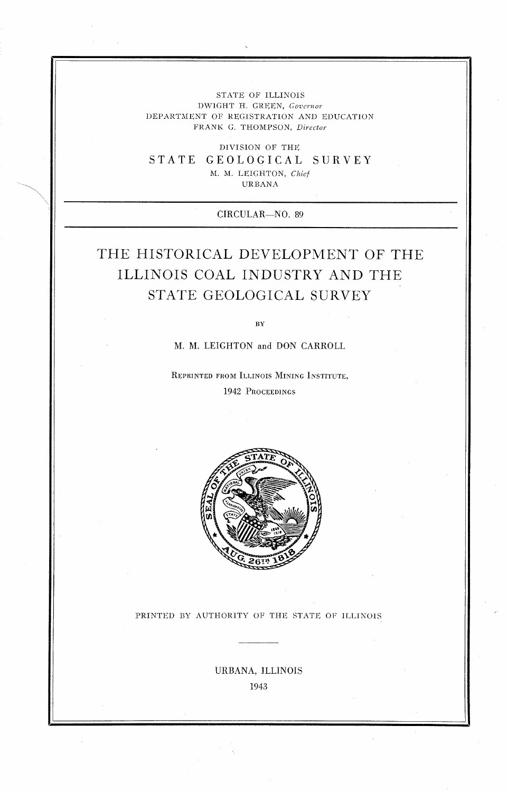## STATE OF ILLINOIS DWIGHT H. GREEN, Governor DEPARTMENT OF REGISTRATION AND EDUCATION FRANK G. THOMPSON, Director

DlVISlON OF THE STATE GEOLOGICAL SURVEY M. M. LEIGHTON, *Chief* 

URBANA

CIRCULAR-NO. 89

# THE HISTORICAL DEVELOPMENT OF THE ILLINOIS COAL INDUSTRY AND THE STATE GEOLOGICAL SURVEY

**BY** 

14. **M.** LEIGHTON and DON CARROLL

REPRINTED FROM ILLINOIS MINING INSTITUTE, 1942 PROCEEDINGS



### PRINTED BY AUTHORITY OF THE STATE OF ILLINOIS

URBANA, ILLINOIS 1943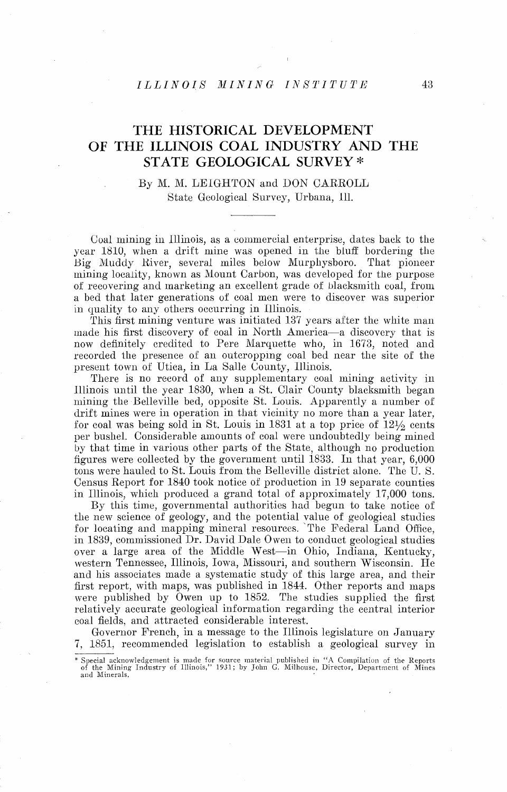## *ILLINOIS MINING INSTITUTE*

## THE HISTORICAL DEVELOPMENT OF THE ILLINOIS COAL INDUSTRY AND THE STATE GEOLOGICAL SURVEY \*

## By M. M. LEIGHTON and DON CARROLL State Geological Survey, Urbana, Ill.

Coal mining in Illinois, as a commercial enterprise, dates back to the year 1810, when a drift mine was opened in the bluff bordering the Big Muddy River, several miles below Murphysboro. That pioneer mining locality, known as Mount Carbon, was developed for the purpose of recovering and marketing an excellent grade of blacksmith coal, from a bed that later generations of coal men were to discover was superior in quality to any others occurring in Illinois.

This first mining venture was initiated 137 years after the white man made his first discovery of coal in North America-a discovery that is now definitely credited to Pere Marquette who, in 1673, noted and recorded the presence of an outcropping coal bed near the site of the present town of Utica, in La Salle County, Illinois.

There is no record of any supplementary coal mining activity in lllinois until the year 1830, when a St. Clair County blacksmith began mining the Belleville bed, opposite St. Louis. Apparently a number of' drift mines were in operation in that vicinity no more than a year later, for coal was being sold in St. Louis in 1831 at a top price of  $12\frac{1}{2}$  cents per bushel. Considerable amounts of coal were undoubtedly being mined by that time in various other parts of the State, although no production figures were collected by the government until  $1833$ . In that year, 6,000 tons were hauled to St. Louis from the Belleville district alone. The U. S. Census Report for 1840 took notice of production in 19 separate counties in Illinois, which produced a grand total of approximately 17,000 tons.

By this time, governmental authorities had begun to take notice of the new science of geology, and the potential value of geological studies for locating and mapping mineral resources. The Federal Land Office, in 1839, commissioned Dr. David Dale Owen to conduct geological studies over a large area of the Middle West-in Ohio, Indiana, Kentucky, western Tennessee, Illinois, Iowa, Missouri, and southern Wisconsin. He and his associates made a systematic study of this large area, and their first report, with maps, was published in 1844. Other reports and maps were published by Owen up to 1852. The studies supplied the first relatively accurate geological information regarding the central interior coal fields, and attracted considerable interest.

Governor French, in a message to the Illinois legislature on January 7, 1851, recommended legislation to establish a geological survey in

<sup>\*</sup> Special acknowledgement is made for source material published in "A Compilation of the Reports<br>of the Mining Industry of Illinois," 1931; by John G. Milhouse, Director, Department of Mines<br>and Minerals.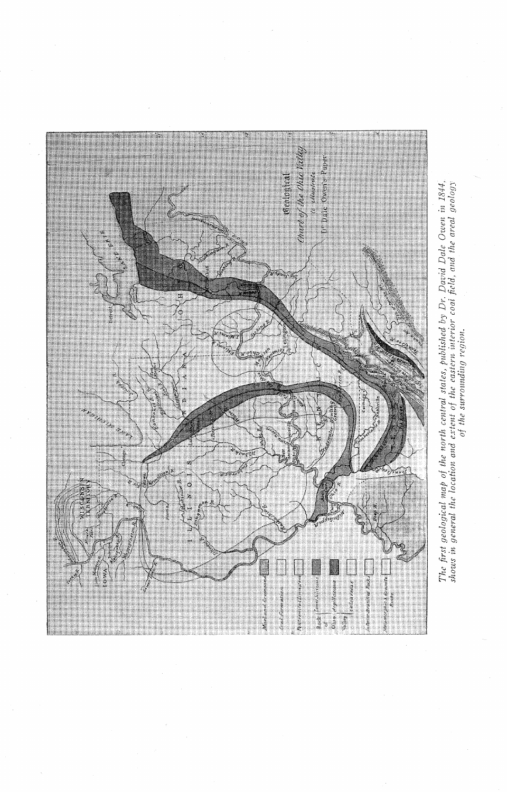

The first geological map of the north central states, published by Dr. David Dale Owen in 1844,<br>shows in general the location and extent of the eastern interior coal field, and the areal geology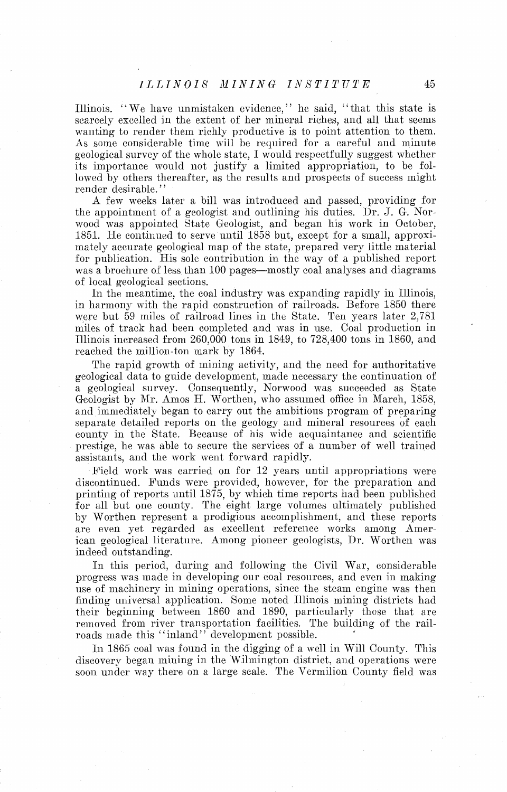Illinois. "We have unmistaken evidence," he said, "that this state is scarcely excelled in the extent of her mineral riches, and all that seems wanting to render them richly productive is to point attention to them. As some considerable time will be required for a careful and minute geological survey of the whole state, I would respectfully suggest whether its importance would not justify a limited appropriation, to be followed by others thereafter, as the results and prospects of success might render desirable."

A few weeks later a bill was introduced and passed, providing for the appointment of a geologist and outlining his duties. Dr. J. G. Norwood was appointed State Geologist, and began his work in October, 1851. He continued to serve until 1858 but, except for a small, approximately accurate geological map of the state, prepared very little material for publication. His sole contribution in the way of a published report was a brochure of less than 100 pages—mostly coal analyses and diagrams of local geological sections.

In the meantime, the coal industry was expanding rapidly in Illinois, in harmony with the rapid construction of railroads. Before 1850 there were but 59 miles of railroad lines in the State. Ten years later 2,781 miles of track had been completed and was in use. Coal production in Illinois increased from  $260,000$  tons in 1849, to  $728,400$  tons in 1860, and reached the million-ton mark by 1864.

The rapid growth of mining activity, and the need for authoritative geological data to guide development, made necessary the continuation of a geological survey. Consequenlly, Norwood was succeeded as State Geologist by Ah. Amos H. Worthen, who assumed office in March, 1858, and immediately began to carry out the ambitions program of preparing separate detailed reports on the geology and mineral resources of each county in the State. Because of his wide acquaintance and scientific prestige, he was able to secure the services of a number of well trained assistants, and the work went forward rapidly.

Field work was carried on for 12 years until appropriations were discontinued. Funds were provided, however, for the preparation and printing of reports until 1875, by which time reports had been published for all but one county. The eight large volumes ultimately published by Worthen represent a prodigious accomplishment, and these reports are even yet regarded as excellent reference works among American geological literature. Among pioneer geologists, Dr. Worthen was indeed outstanding.

In this period, during and following the Civil War, considerable progress was made in developing our coal resources, and even in making use of machinery in mining operations, since the steam engine was then finding universal application. Some noted Illinois mining districts had their beginning between 1860 and 1890, particularly those that are removed from river transportation facilities. The building of the railroads made this "inland" development possible.

In 1865 coal was found in the digging of a wcll in Will County. This discovery began mining in the Wilmington district, and operations were soon under way there on a large scale. The Vermilion County field was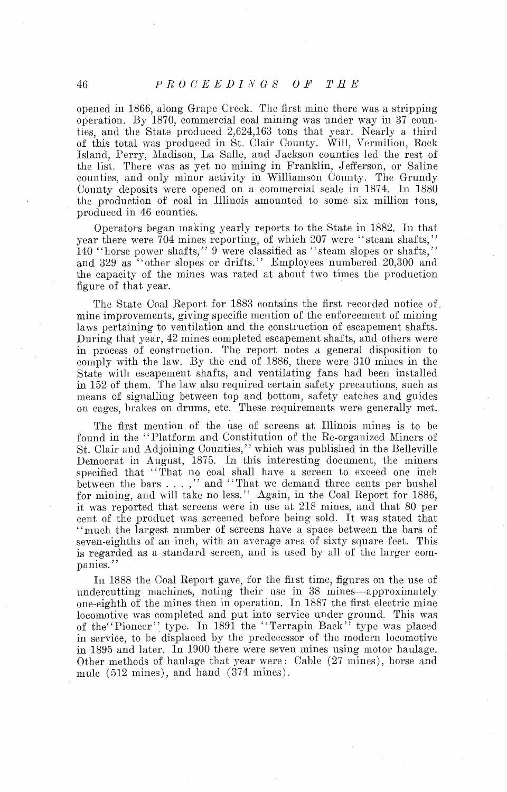opened in 1866, along Grape Creek. The first miue there was a stripping operation. By 1870, commercial coal mining was under way in 37 counties, and the State produced 2,624,163 tons that year. Nearly a third of this total was produced in St. Clair County. Will, Vermilion, Rock Island, Perry, Madison, La Salle, and Jackson counties led the rest of the list. There was as yet no mining in Franklin, Jefferson, or Saline counties, and only minor activity in Williamson County. The Grundy County deposits were opened on a commercial scale in 1874. In 1880 the production of coal in Illinois amounted to some six million tons, produced in 46 counties.

Operators began making yearly reports to the State in 1882. In that year there were  $\bar{7}04$  mines reporting, of which 207 were "steam shafts," 140 "horse power shafts,"  $9$  were classified as "steam slopes or shafts." and 329 as "other slopes or drifts." Employees numbered 20,300 and the capacity of the mines was rated at about two times the production figure of that year.

The State Coal Report for 1883 contains the first recorded notice of mine improvements, giving specific mention of the enforcement of mining laws pertaining to ventilation and the construction of escapement shafts. During that year, 42 mines completed escapement shafts, and others were in process of construction. The report notes a general disposition to comply with the law. By the end of 1886, there were 310 mines in the State with escapement shafts, and ventilating fans had been installed in 152 of them. The law also required certain safety precautions, such as means of signalling between top and bottom, safety catches and guides on cages, brakes on drums, etc. These requirements were generally met,

The first mention of the use of screens at Illinois mines is to be found in the "Platform and Constitution of the Re-organized Miners of St. Clair and Adjoining Counties," which was published in the Belleville Democrat in August, 1875. In this interesting document, the miners specified that "That no coal shall have a screen to exceed one inch between the bars  $\dots$ ," and "That we demand three cents per bushel for mining, and will take no less." Again, in the Coal Report for 1886, it was reported that screens were in use at 218 mines, and that 80 per cent of the product was screened before being sold. It was stated that "much the largest number of screens have a space between the bars of seven-eighths of an inch, with an average area of sixty square feet. This is regarded as a standard screen, and is used by all of the larger companies."

In 1888 the Coal Report gave, for the first time, figures on the use of undercutting machines, noting their use in 38 mines-approximately one-eighth of the mines then in operation. In 1887 the first electric mine locomotive was completed and put into service under ground. This was of the "Pioneer" type. In 1891 the "Terrapin Back" type was placed in service, to be displaced by the predecessor of the modern locomotive in 1895 and later. In 1900 there were seven mines using motor haulage. Other methods of haulage that year were : Cable (27 mincs), horse and mule (512 mines), and hand (374 mines).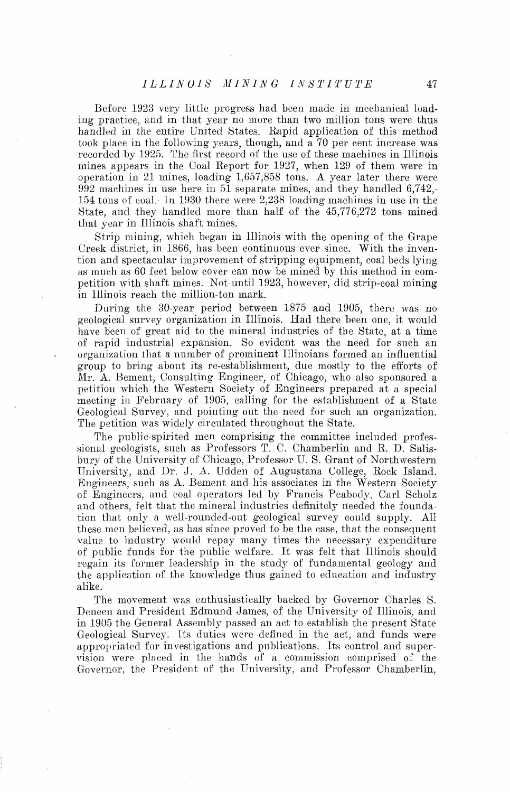Before 1923 very little progress had been made in mechanical loading practice, and in that year no more than two million tons were thus handled in the entire United States. Rapid application of this method took place in the following years, though, and a 70 per cent increase was recorded by 1925. The first record of the use of these machines in Illinois mines appears in the Coal Report for 1927, when 129 of them were in operation in 21 mines, loading 1,657,858 tons. A year later there were  $992$  machines in use here in 51 separate mines, and they handled 6,742,-154 tons of coal. In 1930 there were 2,238 loading machines in use in the State, and they handled more than half of the  $45,776,272$  tons mined that year in Illinois shaft mines.

Strip mining, which began in lllinois with the opening of the Grape Creek district, in 1866, has been continuous ever since. With the invention and spectacular improvement of stripping equipment, coal beds lying as much as 60 feet below cover can now be mined by this method in competition with shaft mines. Not until 1923, however, did strip-coal mining in Illinois reach the million-ton mark.

During the 30-year period between 1875 and 1905, there was no geological survey organization in Illinois. IIad there been one, it would have been of great aid to the mineral industries of the State, at a time of rapid industrial expansion. So evident was the need for such an organization that a number of prominent Illinoians formed an influential group to bring about its re-establishment, due mostly to the efforts of Mr. A. Bement, Consulting Engineer, of Chicago, who also sponsored a petition which the Western Society of Engineers prepared at a special meeting in February of 1905, calling for the establishment of a State Geological Survey, and pointing out the need for such an organization. The petition was widely circulated throughout the State.

The public-spirited men comprising the committee included professional geologists, such as Professors T. C. Chamberlin and R. D. Salisbury of the University of' Chicago, l'rofessor U. S. Grant of Northwestern University, and Dr. J. A. Udden of Augustana College, Rock Island. Engineers, such as A. Bement and his associates in the Western Society of Engineers, and coal operators led by Francis Peabody, Carl Scholz and others, felt that the mineral industries definitely needed the foundation that only a well-rounded-out geological survey could supply. All these men believed, as has since proved to be the case, that the consequent value to industry would repay many times the necessary expenditure of public funds for the public welfare. It was felt that Illinois should regain its former leadership in the study of fundamental geology and the application of the knowledge thus gained to education and industry alike.

The movement was enthusiastically backed by Governor Charles S. Deneen and President Edmund James, of the University of Illinois, and in 1905 the General Assembly passed an act to establish the present State Geological Survey. Its duties were defined in the act, and funds were appropriated for investigations and publications. Tts control and supervision were placed in the hands of a commission comprised of the Governor, the President of the University, and Professor Chamberlin,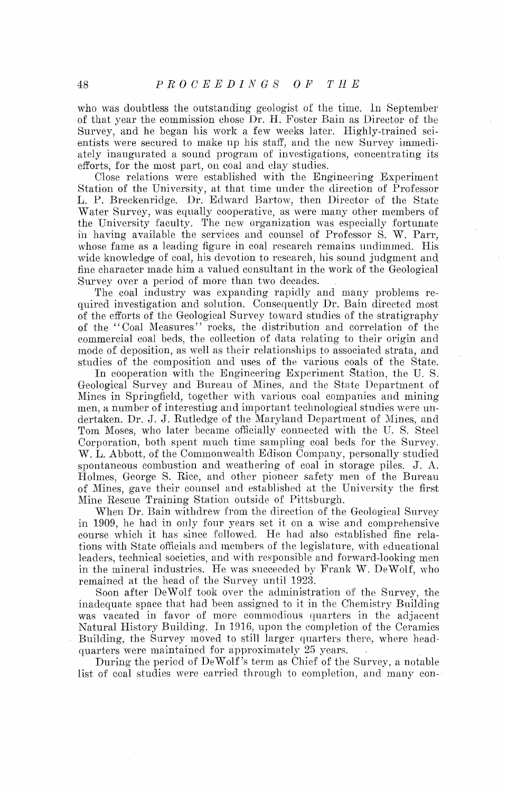who was doubtless the outstanding geologist of the time. In September of that year the commission chose Dr. H. Foster Bain as Director of the Survey, and he began his work a few weeks later. Highly-trained scientists were secured to make up his staff, and the new Survey immediately inaugurated a sound program of investigations, concentrating its efforts, for the most part, on coal and clay studies.

Close relations were established with the Engineering Experiment Station of the University, at that time under the direction of Professor L. P. Breckenridge. Dr. Edward Bartow, then Director of the State Water Survey, was equally cooperative, as were many other members of the University faculty. The new organization was especially fortunate in having available the services and counsel of Professor S. W. Parr, whose fame as a leading figure in coal research remains undimined. His wide knowledge of coal, his devotion to research, his sound judgment and fine character made him a valued consultant in the work of the Geological Survey over a period of more than two decades.

The coal industry was expanding rapidly and many problems required investigation and solution. Consequently Dr. Bain directed most of the efforts of the Geological Survey toward stndies of the stratigraphy of the "Coal Measures" rocks, the distribution and correlation of the commercial coal beds, the collection of data relating to their origin ancl mode of deposition, as well as their relationships to associated strata, and studies of the composition and uses of the various coals of the State.

In cooperation with the Engineering Experiment Station, the U. S. Geological Survey and Bureau of Mines, and the Stute Department of Atinex in Springfield, together with various coal companies and mining men, a number of interesting and important technological studies were undertaken. Dr. J. J. Rutledge of the Maryland Department of Mines, and Tom Moses, who later became officially connected with the U.S. Steel Corporation, both spent much time sampling coal beds for the Survey. W. L. Abbott, of the Commonwealth Edison Company, personally studied spontaneous combustion and weathering of coal in storage piles. J. A. I3olmes, George S. Rice, and other pioneer safety men of the Bureau of Mines, gave their counsel and established at the University the first Mine Rescue Training Station outside 01 Pittsburgh.

When Dr. Bain withdrew from the direction of the Geological Survey in 1909, he had in only four years set it on a wise and comprehensive course which it has since followed. He had also established fine relations with State officials and members of the legislature, with educational leaders, technical societies, and with responsible and forward-looking men in the mineral industries. He was succeeded by Frank W. DeWolf, who remained at the head of the Survey until 1923.

Soon after DeWolf took over the administration of the Survey, the inadequate space that had been assigned to it in the Chemistry Building was vacated in favor of more commodious quarters in the adjacent Natural History Building. In 1916, upon the completion of the Ceramics Building, the Survey moved to still larger quarters there, where headquarters were maintained for approximately  $25$  years.

During the period of DeWolf's term as Chief of the Survey, a notable list of coal studies were carried through to completion, and many con-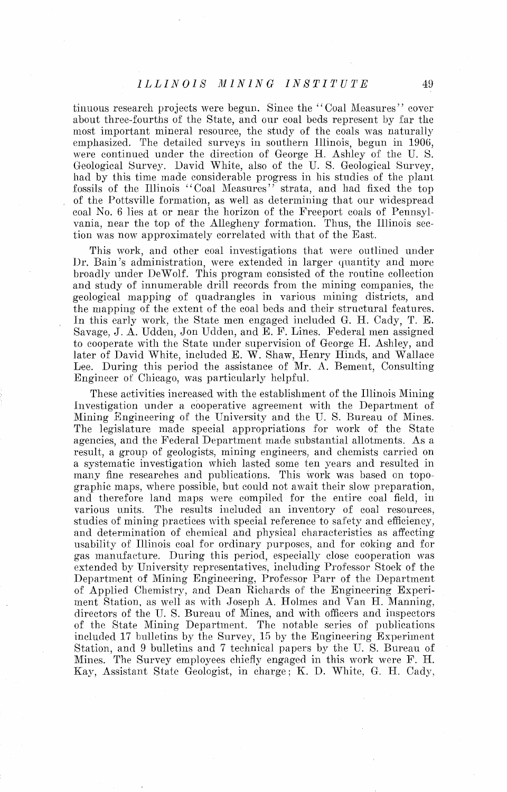## ILLINOIS MINING INSTITUTE

tinuous research projects were begun. Since the "Coal Measures" cover about three-fourths of the State, and our coal beds represent by far the most important mineral resource, the study of the coals was naturally emphasized. The detailed surveys in southern Illinois, begun in 1906, were continued under the direction of George B. Ashley of the U. S. Geological Survey. David White, also of the U. S. Geological Survey, had by this time made considerable progress in his studies of the plant fossils of the Illinois "Coal Measures" strata, and had fixed the top of the Pottsville formation, as well as determining that our widespread coal No. 6 lies at or near the horizon of the Freeport coals of Pennsylvania, near the top of the Allegheny formation. Thus, the lllinois seclion was now approximately correlated with that of the East.

This work, and other coal investigations that were outlined under Dr. Bain's administration, were extended in larger quantity and more broadly under DeWolf. This program consisted of the routine collection and study of innumerable drill records from the mining companies, the geological mapping of quadrangles in various mining districts, and the mapping of the extent of the coal beds and their structural features. In this early work, the State men engaged included G. H. Cady, T. E. Savage, J. A. Udden, Jon Udden, and E. F. Lines. Federal men assigned to cooperate with the State under supervision of George H. Ashley, and later of David White, included E. W. Shaw, Henry Hinds, and Wallace Lee. During this period the assistance of Mr. A. Bement, Consulting Engineer of Chicago, was particularly helpful.

These activities increased with the establishment of the Illinois Mining Investigation under a cooperative agreement with the Department of Mining Engineering of the University and the U.S. Bureau of Mines. The legislature made special appropriations for work of the State agencies, and the Federal Department made substantial allotments. As a result, a group of geologists, mining engineers, and chemists carried on a systematic investigation which lasted some ten years and resulted in many fine researches and publications. This work was based on topographic maps, where possible, but could not await their slow preparation, and therefore land maps were compiled for the entire coal field, in various units. The results included an inventory of coal resources, studies of mining practices with special reference to safety and efficiency, and determination of chemical and physical characteristics as affecting usability of Illinois coal for ordinary purposes, and for coking and for gas manufacture. During this period, especially close cooperation was extended by University representatives, including Professor Sloek of the Department of Mining Engineering, Professor Parr of the Department of Applied Chemistry, and Dean Richards of the Engineering Experiment Station, as well as with Joseph A. Holmes and  $\bar{V}$ an H. Manning, directors of the U.S. Bureau of Mines, and with officers and inspectors of the State Mining Department. The notable series of publications included 17 bulletins by the Survey, 15 by the Engineering Experiment Station, and 9 bulletins and 7 technical papers by the U. S. Bureau of Mines. The Survey employees chiefly engaged in this work were F. H. Kay, Assistant State Geologist, in charge; K. D. White, G. H. Cady,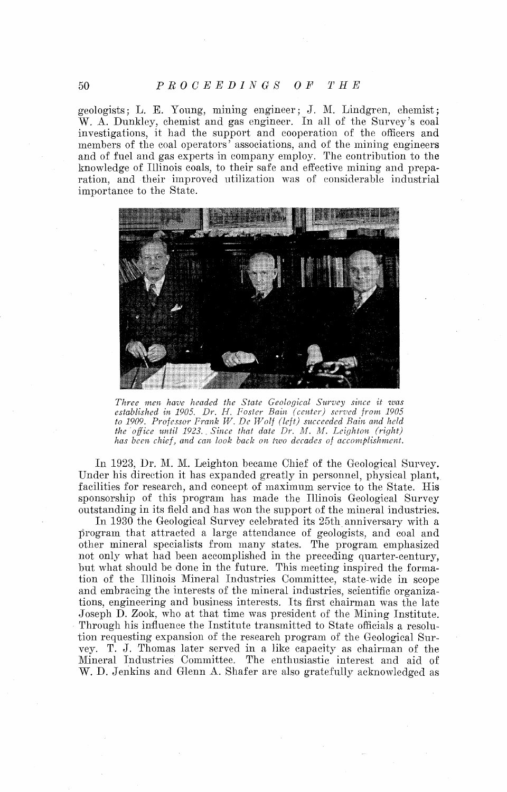#### $P R O C E E D I N G S O F$  $T$   $H$   $E$

geologists; L. E. Young, mining engineer; J. M. Lindgren, chemist; W. A. Dunkley, chemist and gas engineer. In all of the Survey's coal investigations, it had the support and cooperation of the officers and members of the coal operators' associations, and of the mining engineers and of fuel and gas experts in company employ. The contribution to the knowledge of Illinois coals, to their safe and effective mining and preparation, and their improved utilization was of considerable industrial importance to the State.



*Three men have headed the State Geological Survey since it was established in 1905. Dr. H. Foster Bain (center) served from 1905 to 1909. Professor Frank W. De Wolf (left) succeeded Bain and held the office until 1923. Since that date Dr. M. M. Leighton (right)* has been chief, and can look back on two decades of accomplishment.

In 1923, Dr. M. M. Leighton became Chief of the Geological Survey. Under his direction it has expanded greatly in personnel, physical plant, facilities for research, and concept of maximum service to the State. His sponsorship of this program has made the Illinois Geological Survey outstanding in its field and has won the support of the mineral industries.

In 1930 the Geological Survey celebrated its 25th anniversary with **a**  program that attracted a large attendance of geologists, and coal and other mineral specialists from many states. The program emphasized not only what had been accomplished in the preceding quarter-century, but what should be done in the future. This meeting inspired the formation of the Illinois Mineral Industries Committee, state-wide in scope and embracing the interests of the mineral industries, scientific organizations, engineering and business interests. Its first chairman was the late Joseph D. Zook, who at that time was president of the Mining Institute. Througli his influence the Institute transmitted to State officials a resolution requesting expansion of the research program of the Geological Survey. T. J. Thomas later served in a like capacity as chairman of the Mineral Industries Committee. The enthusiastic interest and aid of W. D. Jenkins and Glenn A. Shafer are also gratefully acknowledged as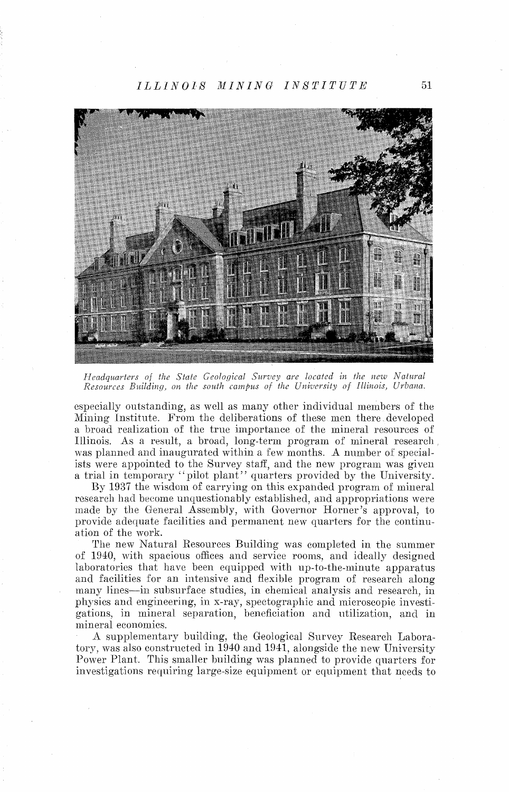MINING INSTITUTE  $ILLINOIS$ 



Headquarters of the State Geological Survey are located in the new Natural Resources Building, on the south campus of the University of Illinois, Urbana.

especially outstanding, as well as many other individual members of the Mining Institute. From the deliberations of these men there developed a broad realization of the true importance of the mineral resources of Illinois. As a result, a broad, long-term program of mineral research, was planned and inaugurated within a few months. A number of specialists were appointed to the Survey staff, and the new program was given a trial in temporary "pilot plant" quarters provided by the University.

By 1937 the wisdom of carrying on this expanded program of mineral research had become unquestionably established, and appropriations were made by the General Assembly, with Governor Horner's approval, to provide adequate facilities and permanent new quarters for the continuation of the work.

The new Natural Resources Building was completed in the summer of 1940, with spacious offices and service rooms, and ideally designed laboratories that have been equipped with up-to-the-minute apparatus and facilities for an intensive and flexible program of research along many lines—in subsurface studies, in chemical analysis and research, in physics and engineering, in x-ray, spectographic and microscopic investigations, in mineral separation, beneficiation and utilization, and in mineral economics.

A supplementary building, the Geological Survey Research Laboratory, was also constructed in 1940 and 1941, alongside the new University Power Plant. This smaller building was planned to provide quarters for investigations requiring large-size equipment or equipment that needs to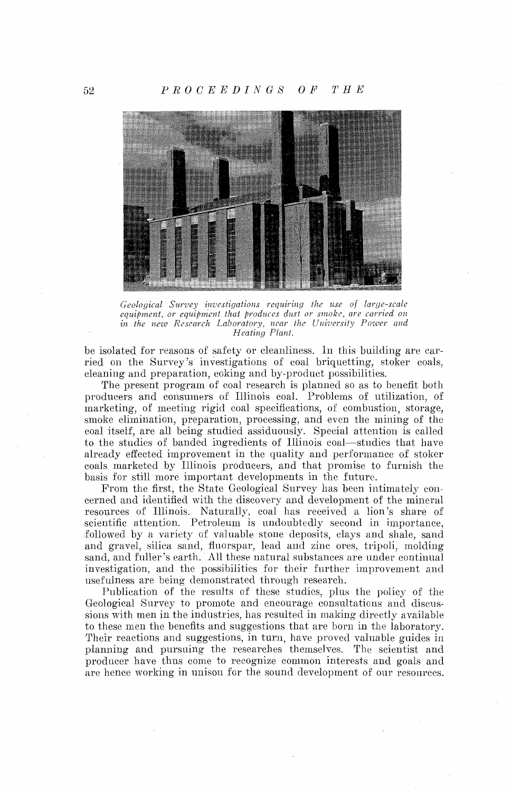

*Geological Survey investigations requiring the use of large-scale equipment, or equipment that produces dust or smoke, are carried on* in the new Research Laboratory, near the University Power and *Heating Plant.* 

be isolated for reasons of safety or cleanliness. In this building are carried on the Survey's investigations of coal briquetting, stoker coals, cleaning and preparation, coking and by-product possibilities.

The present program of coal research is planned so as to benefit both producers and consumers of Illinois coal. Problems of utilization, of marketing, of meeting rigid coal specifications, of combustion, storage, smoke elimination, preparation, processing, and even the mining of the coal itself, are all being studied assiduously. Special attention is called to the studies of banded ingredients of Illinois coal—studies that have already effected improvement in the quality and performance of stoker coals marketed by Illinois producers, and that promise to furnish the basis for still more important developments in the future.

From the first, the State Geological Survey has been intimately concerned and identified with the discovery and development of the mineral resources of Illinois. Naturally, coal has received a lion's share of scientific attention. Petroleum is undoubtedly second in importance, followed by a variety of valuable stone deposits, clays and shale, sand and gravel, silica sand, fluorspar, lead and zinc ores, tripoli, molding sand, and fuller's earth. All these natural substances are under continual investigation, and the possibilities for their further improvement and usefulness are being demonstrated through research.

Publication of the results of these studies, plus the policy of the Geological Survey to promote and encourage consultations and discussions with men in the industries, has resulted in making directly available to these men the benefits and suggestions that are born in the laboratory. Their reactions and suggestions, in turn, have proved valuable guides in planning and pursuing the researches themselves. The scientist and producer have thus come to recognize common interests and goals ancl are hence working in unisou for the sound development of our resources.